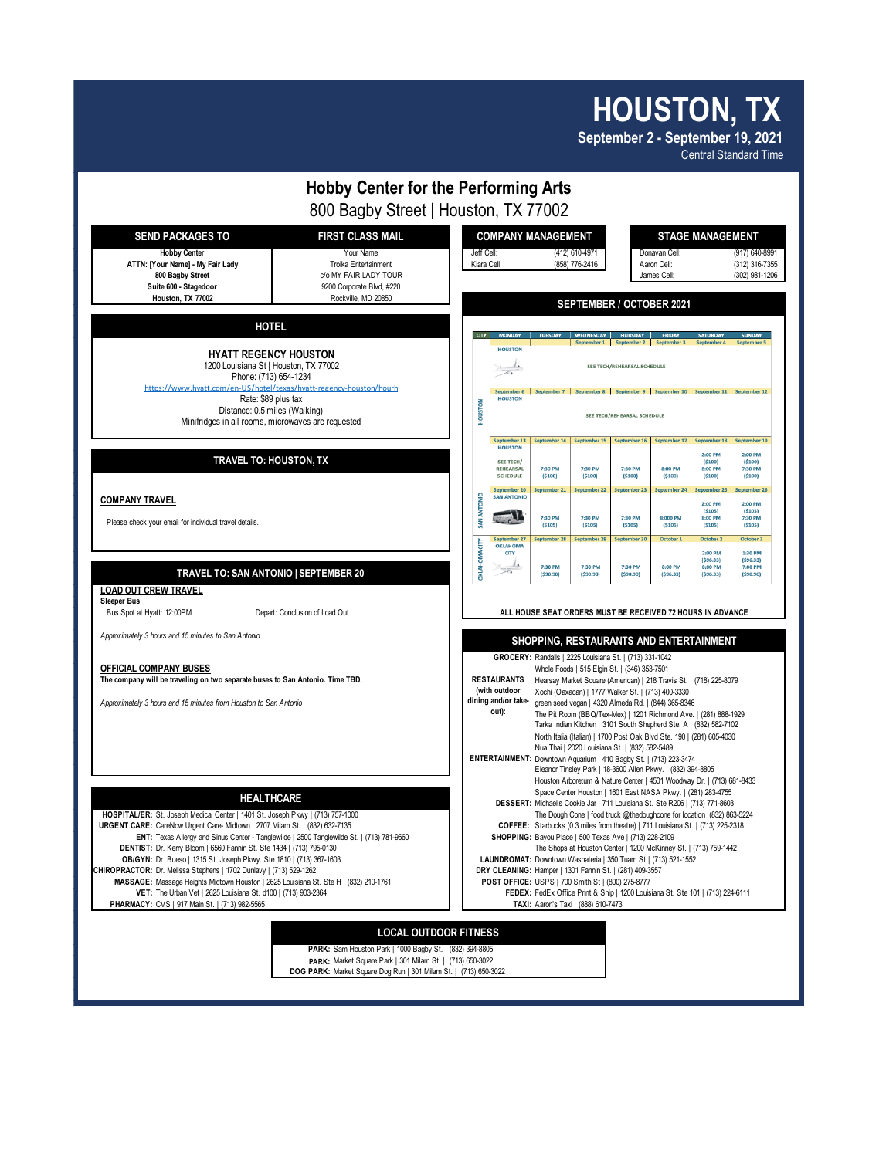## **HOUSTON, TX**

**September 2 - September 19, 2021** Central Standard Time



**PARK:** Market Square Park | 301 Milam St. | (713) 650-3022 **DOG PARK:** Market Square Dog Run | 301 Milam St. | (713) 650-3022